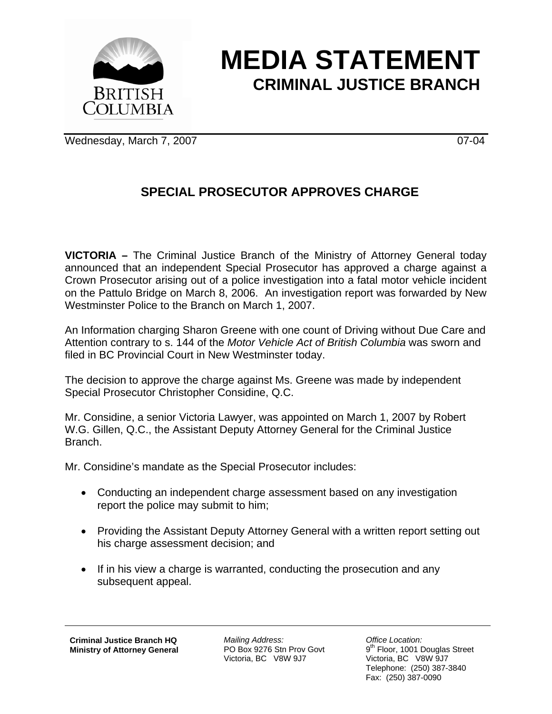

## **MEDIA STATEMENT CRIMINAL JUSTICE BRANCH**

Wednesday, March 7, 2007 07-04

## **SPECIAL PROSECUTOR APPROVES CHARGE**

**VICTORIA –** The Criminal Justice Branch of the Ministry of Attorney General today announced that an independent Special Prosecutor has approved a charge against a Crown Prosecutor arising out of a police investigation into a fatal motor vehicle incident on the Pattulo Bridge on March 8, 2006. An investigation report was forwarded by New Westminster Police to the Branch on March 1, 2007.

An Information charging Sharon Greene with one count of Driving without Due Care and Attention contrary to s. 144 of the *Motor Vehicle Act of British Columbia* was sworn and filed in BC Provincial Court in New Westminster today.

The decision to approve the charge against Ms. Greene was made by independent Special Prosecutor Christopher Considine, Q.C.

Mr. Considine, a senior Victoria Lawyer, was appointed on March 1, 2007 by Robert W.G. Gillen, Q.C., the Assistant Deputy Attorney General for the Criminal Justice Branch.

Mr. Considine's mandate as the Special Prosecutor includes:

- Conducting an independent charge assessment based on any investigation report the police may submit to him;
- Providing the Assistant Deputy Attorney General with a written report setting out his charge assessment decision; and
- If in his view a charge is warranted, conducting the prosecution and any subsequent appeal.

*Mailing Address:*  PO Box 9276 Stn Prov Govt Victoria, BC V8W 9J7

*Office Location:*  9<sup>th</sup> Floor, 1001 Douglas Street Victoria, BC V8W 9J7 Telephone: (250) 387-3840 Fax: (250) 387-0090